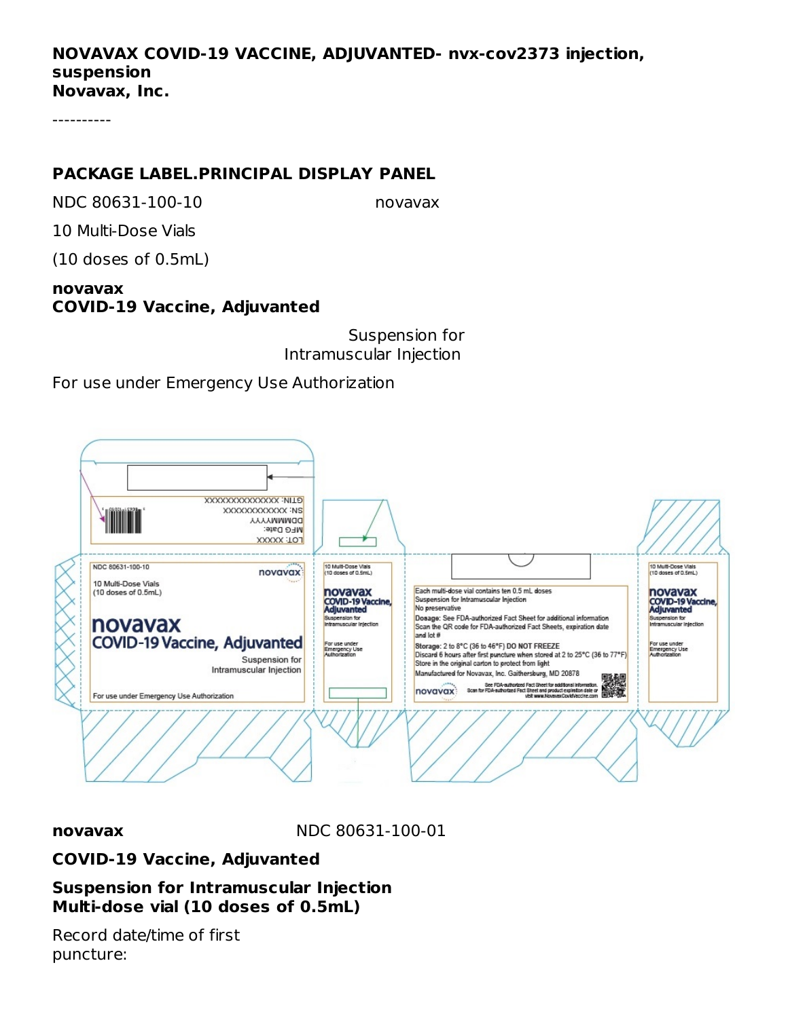### **NOVAVAX COVID-19 VACCINE, ADJUVANTED- nvx-cov2373 injection, suspension Novavax, Inc.**

----------

# **PACKAGE LABEL.PRINCIPAL DISPLAY PANEL**

NDC 80631-100-10 novavax

10 Multi-Dose Vials

(10 doses of 0.5mL)

## **novavax COVID-19 Vaccine, Adjuvanted**

Suspension for Intramuscular Injection

For use under Emergency Use Authorization



**novavax** NDC 80631-100-01

# **COVID-19 Vaccine, Adjuvanted**

**Suspension for Intramuscular Injection Multi-dose vial (10 doses of 0.5mL)**

Record date/time of first puncture: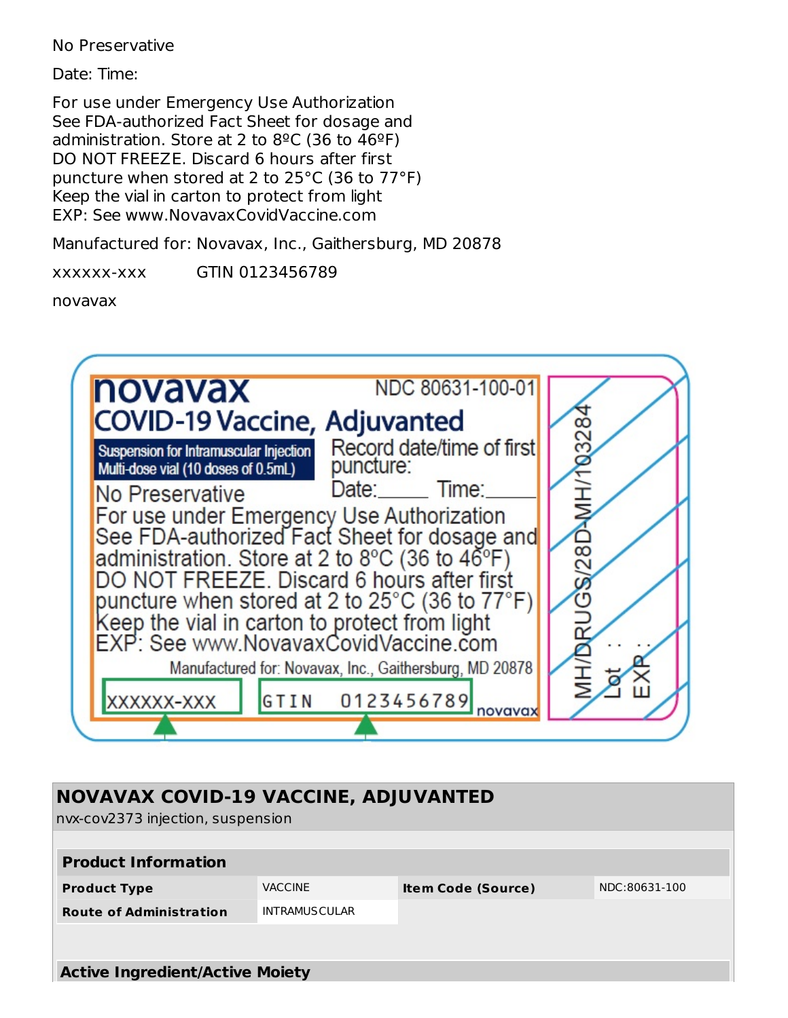No Preservative

Date: Time:

For use under Emergency Use Authorization See FDA-authorized Fact Sheet for dosage and administration. Store at 2 to  $8^{\circ}$ C (36 to  $46^{\circ}$ F) DO NOT FREEZE. Discard 6 hours after first puncture when stored at 2 to 25°C (36 to 77°F) Keep the vial in carton to protect from light EXP: See www.NovavaxCovidVaccine.com

Manufactured for: Novavax, Inc., Gaithersburg, MD 20878

xxxxxx-xxx GTIN 0123456789

novavax



| <b>NOVAVAX COVID-19 VACCINE, ADJUVANTED</b><br>nvx-cov2373 injection, suspension |                      |                           |               |  |  |  |  |
|----------------------------------------------------------------------------------|----------------------|---------------------------|---------------|--|--|--|--|
| <b>Product Information</b>                                                       |                      |                           |               |  |  |  |  |
| <b>Product Type</b>                                                              | <b>VACCINE</b>       | <b>Item Code (Source)</b> | NDC:80631-100 |  |  |  |  |
| <b>Route of Administration</b>                                                   | <b>INTRAMUSCULAR</b> |                           |               |  |  |  |  |
|                                                                                  |                      |                           |               |  |  |  |  |
|                                                                                  |                      |                           |               |  |  |  |  |
| <b>Active Ingredient/Active Moiety</b>                                           |                      |                           |               |  |  |  |  |